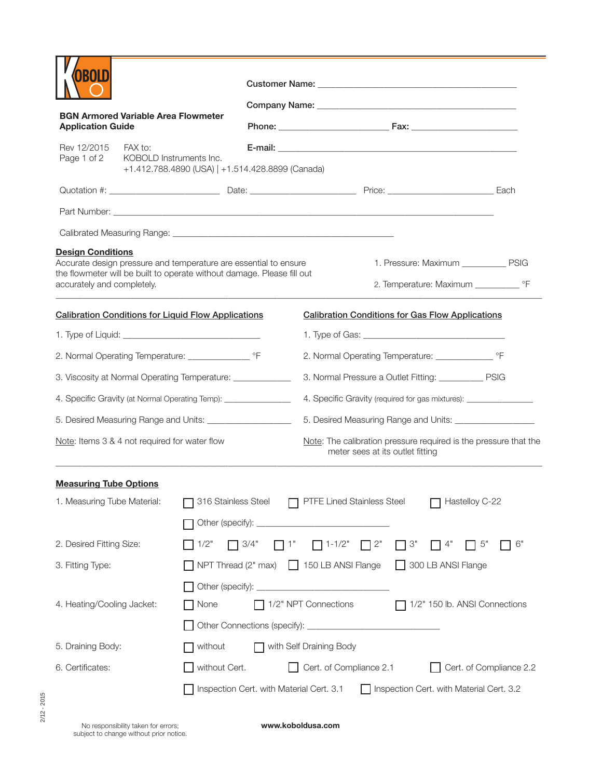| <b>BGN Armored Variable Area Flowmeter</b>                                                                                                                                                           |                                                                                        |                                                                           |  |           |                                                                                                      |                                                                                |                         |  |
|------------------------------------------------------------------------------------------------------------------------------------------------------------------------------------------------------|----------------------------------------------------------------------------------------|---------------------------------------------------------------------------|--|-----------|------------------------------------------------------------------------------------------------------|--------------------------------------------------------------------------------|-------------------------|--|
| <b>Application Guide</b>                                                                                                                                                                             |                                                                                        |                                                                           |  |           |                                                                                                      |                                                                                |                         |  |
| Rev 12/2015<br>Page 1 of 2                                                                                                                                                                           | FAX to:<br>KOBOLD Instruments Inc.<br>+1.412.788.4890 (USA)   +1.514.428.8899 (Canada) |                                                                           |  |           |                                                                                                      |                                                                                |                         |  |
|                                                                                                                                                                                                      |                                                                                        |                                                                           |  |           |                                                                                                      |                                                                                |                         |  |
|                                                                                                                                                                                                      |                                                                                        |                                                                           |  |           |                                                                                                      |                                                                                |                         |  |
|                                                                                                                                                                                                      |                                                                                        |                                                                           |  |           |                                                                                                      |                                                                                |                         |  |
| <b>Design Conditions</b><br>Accurate design pressure and temperature are essential to ensure<br>the flowmeter will be built to operate without damage. Please fill out<br>accurately and completely. |                                                                                        |                                                                           |  |           |                                                                                                      | 1. Pressure: Maximum ___________ PSIG                                          |                         |  |
| <b>Calibration Conditions for Liquid Flow Applications</b>                                                                                                                                           |                                                                                        |                                                                           |  |           |                                                                                                      | <b>Calibration Conditions for Gas Flow Applications</b>                        |                         |  |
|                                                                                                                                                                                                      |                                                                                        |                                                                           |  |           |                                                                                                      |                                                                                |                         |  |
| 2. Normal Operating Temperature: ______________________ °F                                                                                                                                           |                                                                                        |                                                                           |  |           |                                                                                                      |                                                                                |                         |  |
| 3. Viscosity at Normal Operating Temperature: ____________                                                                                                                                           |                                                                                        |                                                                           |  |           | 3. Normal Pressure a Outlet Fitting: ____________ PSIG                                               |                                                                                |                         |  |
| 4. Specific Gravity (at Normal Operating Temp): _______________                                                                                                                                      |                                                                                        |                                                                           |  |           | 4. Specific Gravity (required for gas mixtures): _________________                                   |                                                                                |                         |  |
| 5. Desired Measuring Range and Units: _____________________                                                                                                                                          |                                                                                        |                                                                           |  |           |                                                                                                      |                                                                                |                         |  |
| Note: Items 3 & 4 not required for water flow                                                                                                                                                        |                                                                                        |                                                                           |  |           | Note: The calibration pressure required is the pressure that the<br>meter sees at its outlet fitting |                                                                                |                         |  |
| <b>Measuring Tube Options</b>                                                                                                                                                                        |                                                                                        |                                                                           |  |           |                                                                                                      |                                                                                |                         |  |
| 1. Measuring Tube Material:                                                                                                                                                                          |                                                                                        | 316 Stainless Steel <b>T</b> PTFE Lined Stainless Steel<br>Hastelloy C-22 |  |           |                                                                                                      |                                                                                |                         |  |
|                                                                                                                                                                                                      |                                                                                        |                                                                           |  |           |                                                                                                      |                                                                                |                         |  |
| 2. Desired Fitting Size:                                                                                                                                                                             |                                                                                        | $\Box$ 3/4"<br>1/2"                                                       |  | $\Box$ 1" | $\Box$ 1-1/2" $\Box$ 2"                                                                              | $\Box$ 3"<br>$\Box$ 4"                                                         | 5"<br>6"                |  |
| 3. Fitting Type:                                                                                                                                                                                     |                                                                                        |                                                                           |  |           |                                                                                                      | $\Box$ NPT Thread (2" max) $\Box$ 150 LB ANSI Flange $\Box$ 300 LB ANSI Flange |                         |  |
|                                                                                                                                                                                                      |                                                                                        |                                                                           |  |           |                                                                                                      |                                                                                |                         |  |
| 4. Heating/Cooling Jacket:                                                                                                                                                                           |                                                                                        | <b>□ None</b>                                                             |  |           | 1/2" NPT Connections<br>1/2" 150 lb. ANSI Connections                                                |                                                                                |                         |  |
|                                                                                                                                                                                                      |                                                                                        |                                                                           |  |           |                                                                                                      |                                                                                |                         |  |
| 5. Draining Body:                                                                                                                                                                                    |                                                                                        | $\Box$ without<br>with Self Draining Body                                 |  |           |                                                                                                      |                                                                                |                         |  |
| 6. Certificates:                                                                                                                                                                                     |                                                                                        | $\Box$ without Cert.                                                      |  |           | Cert. of Compliance 2.1                                                                              |                                                                                | Cert. of Compliance 2.2 |  |
|                                                                                                                                                                                                      |                                                                                        | Inspection Cert. with Material Cert. 3.1                                  |  |           |                                                                                                      | Inspection Cert. with Material Cert. 3.2                                       |                         |  |
|                                                                                                                                                                                                      |                                                                                        |                                                                           |  |           |                                                                                                      |                                                                                |                         |  |